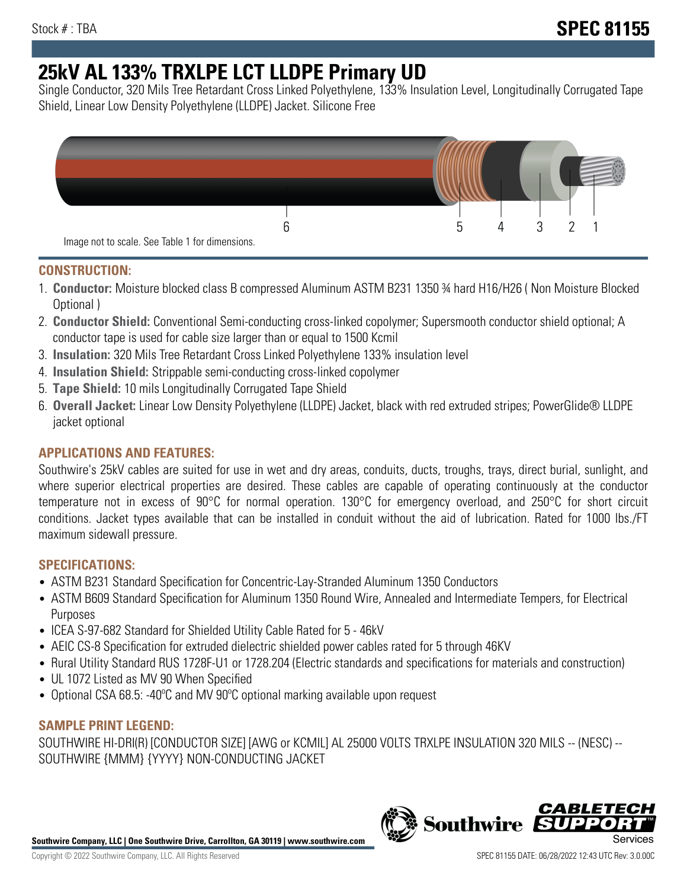# **25kV AL 133% TRXLPE LCT LLDPE Primary UD**

Single Conductor, 320 Mils Tree Retardant Cross Linked Polyethylene, 133% Insulation Level, Longitudinally Corrugated Tape Shield, Linear Low Density Polyethylene (LLDPE) Jacket. Silicone Free



## **CONSTRUCTION:**

- 1. **Conductor:** Moisture blocked class B compressed Aluminum ASTM B231 1350 ¾ hard H16/H26 ( Non Moisture Blocked Optional )
- 2. **Conductor Shield:** Conventional Semi-conducting cross-linked copolymer; Supersmooth conductor shield optional; A conductor tape is used for cable size larger than or equal to 1500 Kcmil
- 3. **Insulation:** 320 Mils Tree Retardant Cross Linked Polyethylene 133% insulation level
- 4. **Insulation Shield:** Strippable semi-conducting cross-linked copolymer
- 5. **Tape Shield:** 10 mils Longitudinally Corrugated Tape Shield
- 6. **Overall Jacket:** Linear Low Density Polyethylene (LLDPE) Jacket, black with red extruded stripes; PowerGlide® LLDPE jacket optional

# **APPLICATIONS AND FEATURES:**

Southwire's 25kV cables are suited for use in wet and dry areas, conduits, ducts, troughs, trays, direct burial, sunlight, and where superior electrical properties are desired. These cables are capable of operating continuously at the conductor temperature not in excess of 90°C for normal operation. 130°C for emergency overload, and 250°C for short circuit conditions. Jacket types available that can be installed in conduit without the aid of lubrication. Rated for 1000 lbs./FT maximum sidewall pressure.

## **SPECIFICATIONS:**

- ASTM B231 Standard Specification for Concentric-Lay-Stranded Aluminum 1350 Conductors
- ASTM B609 Standard Specification for Aluminum 1350 Round Wire, Annealed and Intermediate Tempers, for Electrical Purposes
- ICEA S-97-682 Standard for Shielded Utility Cable Rated for 5 46kV
- AEIC CS-8 Specification for extruded dielectric shielded power cables rated for 5 through 46KV
- Rural Utility Standard RUS 1728F-U1 or 1728.204 (Electric standards and specifications for materials and construction)
- UL 1072 Listed as MV 90 When Specified
- Optional CSA 68.5: -40ºC and MV 90ºC optional marking available upon request

## **SAMPLE PRINT LEGEND:**

SOUTHWIRE HI-DRI(R) [CONDUCTOR SIZE] [AWG or KCMIL] AL 25000 VOLTS TRXLPE INSULATION 320 MILS -- (NESC) -- SOUTHWIRE {MMM} {YYYY} NON-CONDUCTING JACKET

**Southwire Company, LLC | One Southwire Drive, Carrollton, GA 30119 | www.southwire.com**